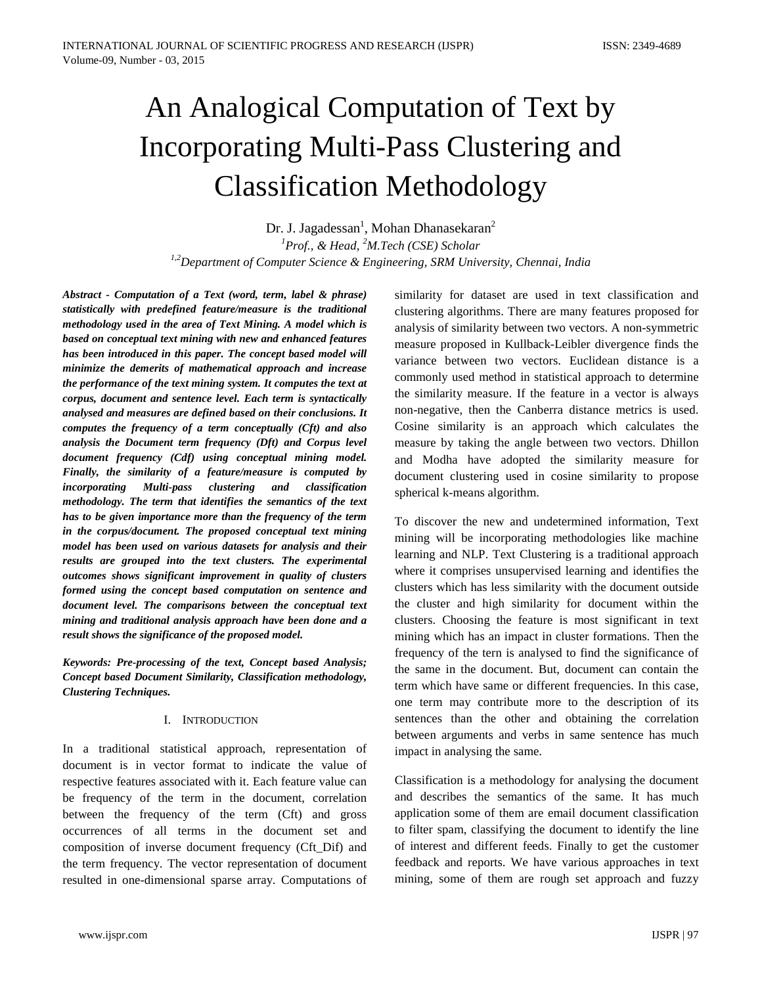# An Analogical Computation of Text by Incorporating Multi-Pass Clustering and Classification Methodology

Dr. J. Jagadessan<sup>1</sup>, Mohan Dhanasekaran<sup>2</sup> *1 Prof., & Head, <sup>2</sup> M.Tech (CSE) Scholar 1,2Department of Computer Science & Engineering, SRM University, Chennai, India*

*Abstract - Computation of a Text (word, term, label & phrase) statistically with predefined feature/measure is the traditional methodology used in the area of Text Mining. A model which is based on conceptual text mining with new and enhanced features has been introduced in this paper. The concept based model will minimize the demerits of mathematical approach and increase the performance of the text mining system. It computes the text at corpus, document and sentence level. Each term is syntactically analysed and measures are defined based on their conclusions. It computes the frequency of a term conceptually (Cft) and also analysis the Document term frequency (Dft) and Corpus level document frequency (Cdf) using conceptual mining model. Finally, the similarity of a feature/measure is computed by incorporating Multi-pass clustering and classification methodology. The term that identifies the semantics of the text has to be given importance more than the frequency of the term in the corpus/document. The proposed conceptual text mining model has been used on various datasets for analysis and their results are grouped into the text clusters. The experimental outcomes shows significant improvement in quality of clusters formed using the concept based computation on sentence and document level. The comparisons between the conceptual text mining and traditional analysis approach have been done and a result shows the significance of the proposed model.*

*Keywords: Pre-processing of the text, Concept based Analysis; Concept based Document Similarity, Classification methodology, Clustering Techniques.*

## I. INTRODUCTION

In a traditional statistical approach, representation of document is in vector format to indicate the value of respective features associated with it. Each feature value can be frequency of the term in the document, correlation between the frequency of the term (Cft) and gross occurrences of all terms in the document set and composition of inverse document frequency (Cft\_Dif) and the term frequency. The vector representation of document resulted in one-dimensional sparse array. Computations of

similarity for dataset are used in text classification and clustering algorithms. There are many features proposed for analysis of similarity between two vectors. A non-symmetric measure proposed in Kullback-Leibler divergence finds the variance between two vectors. Euclidean distance is a commonly used method in statistical approach to determine the similarity measure. If the feature in a vector is always non-negative, then the Canberra distance metrics is used. Cosine similarity is an approach which calculates the measure by taking the angle between two vectors. Dhillon and Modha have adopted the similarity measure for document clustering used in cosine similarity to propose spherical k-means algorithm.

To discover the new and undetermined information, Text mining will be incorporating methodologies like machine learning and NLP. Text Clustering is a traditional approach where it comprises unsupervised learning and identifies the clusters which has less similarity with the document outside the cluster and high similarity for document within the clusters. Choosing the feature is most significant in text mining which has an impact in cluster formations. Then the frequency of the tern is analysed to find the significance of the same in the document. But, document can contain the term which have same or different frequencies. In this case, one term may contribute more to the description of its sentences than the other and obtaining the correlation between arguments and verbs in same sentence has much impact in analysing the same.

Classification is a methodology for analysing the document and describes the semantics of the same. It has much application some of them are email document classification to filter spam, classifying the document to identify the line of interest and different feeds. Finally to get the customer feedback and reports. We have various approaches in text mining, some of them are rough set approach and fuzzy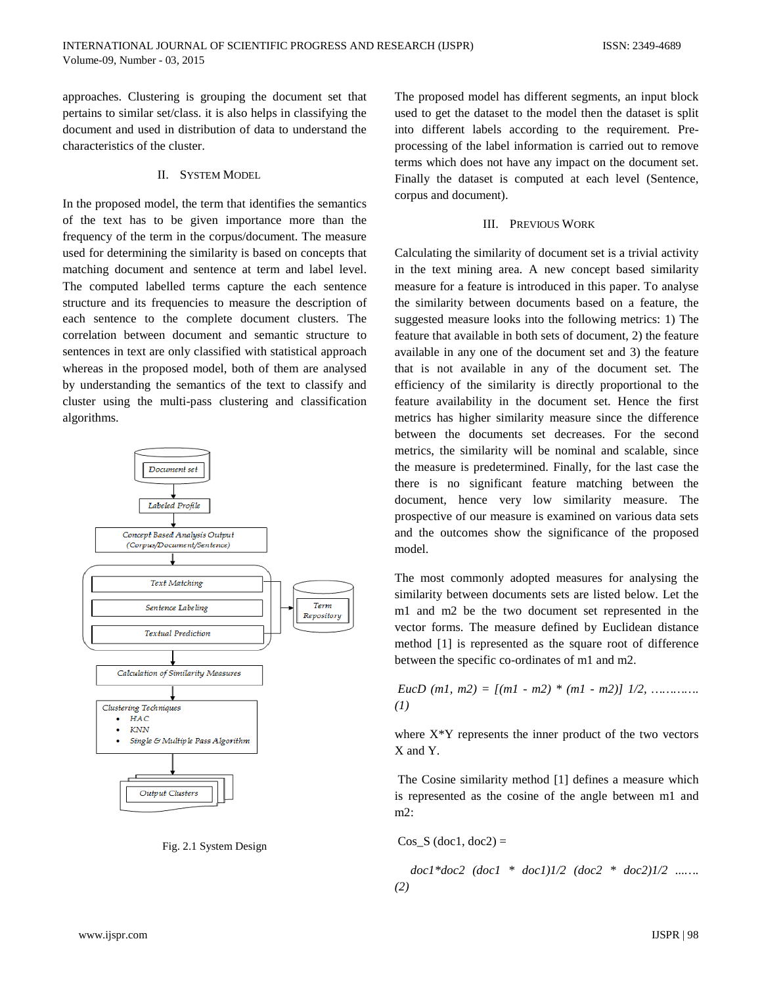approaches. Clustering is grouping the document set that pertains to similar set/class. it is also helps in classifying the document and used in distribution of data to understand the characteristics of the cluster.

# II. SYSTEM MODEL

In the proposed model, the term that identifies the semantics of the text has to be given importance more than the frequency of the term in the corpus/document. The measure used for determining the similarity is based on concepts that matching document and sentence at term and label level. The computed labelled terms capture the each sentence structure and its frequencies to measure the description of each sentence to the complete document clusters. The correlation between document and semantic structure to sentences in text are only classified with statistical approach whereas in the proposed model, both of them are analysed by understanding the semantics of the text to classify and cluster using the multi-pass clustering and classification algorithms.





The proposed model has different segments, an input block used to get the dataset to the model then the dataset is split into different labels according to the requirement. Preprocessing of the label information is carried out to remove terms which does not have any impact on the document set. Finally the dataset is computed at each level (Sentence, corpus and document).

# III. PREVIOUS WORK

Calculating the similarity of document set is a trivial activity in the text mining area. A new concept based similarity measure for a feature is introduced in this paper. To analyse the similarity between documents based on a feature, the suggested measure looks into the following metrics: 1) The feature that available in both sets of document, 2) the feature available in any one of the document set and 3) the feature that is not available in any of the document set. The efficiency of the similarity is directly proportional to the feature availability in the document set. Hence the first metrics has higher similarity measure since the difference between the documents set decreases. For the second metrics, the similarity will be nominal and scalable, since the measure is predetermined. Finally, for the last case the there is no significant feature matching between the document, hence very low similarity measure. The prospective of our measure is examined on various data sets and the outcomes show the significance of the proposed model.

The most commonly adopted measures for analysing the similarity between documents sets are listed below. Let the m1 and m2 be the two document set represented in the vector forms. The measure defined by Euclidean distance method [1] is represented as the square root of difference between the specific co-ordinates of m1 and m2.

*EucD (m1, m2) = [(m1 - m2) \* (m1 - m2)] 1/2, …………. (1)* 

where  $X^*Y$  represents the inner product of the two vectors X and Y.

The Cosine similarity method [1] defines a measure which is represented as the cosine of the angle between m1 and m2:

$$
Cos\_S (doc1, doc2) =
$$

 *doc1\*doc2 (doc1 \* doc1)1/2 (doc2 \* doc2)1/2 ...…. (2)*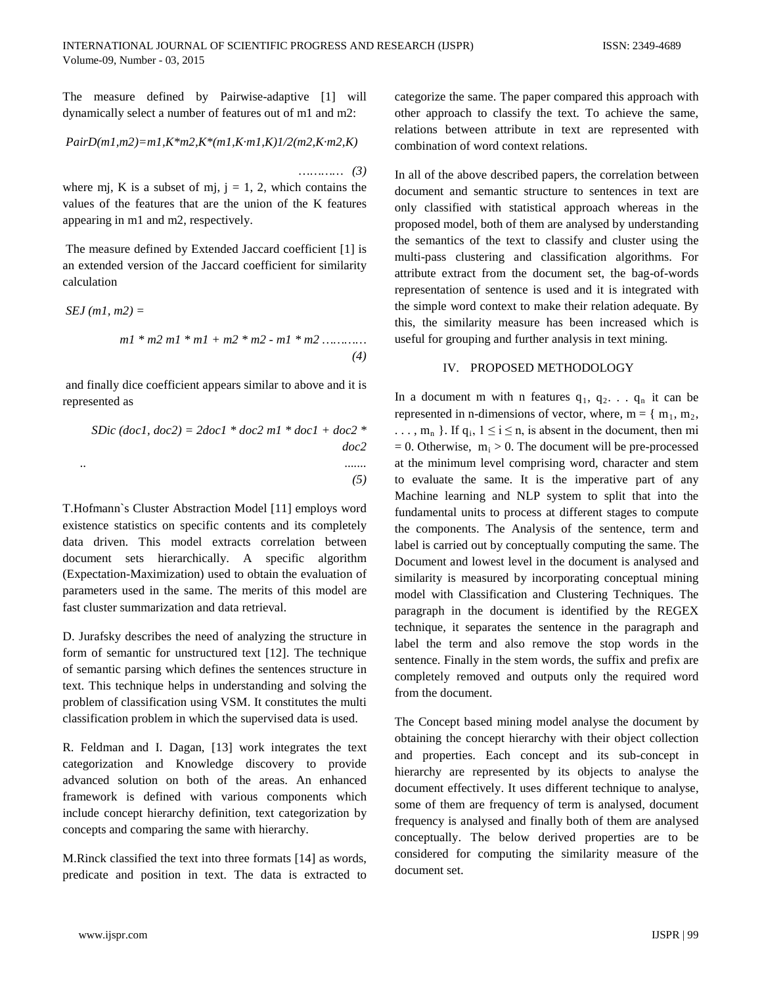The measure defined by Pairwise-adaptive [1] will dynamically select a number of features out of m1 and m2:

$$
PairD(m1, m2) = m1, K*m2, K*(m1, K·m1, K)1/2(m2, K·m2, K)
$$

 …*……… (3)*  where mj, K is a subset of mj,  $j = 1, 2$ , which contains the values of the features that are the union of the K features appearing in m1 and m2, respectively.

The measure defined by Extended Jaccard coefficient [1] is an extended version of the Jaccard coefficient for similarity calculation

$$
SEJ (m1, m2) =
$$
  

$$
m1 * m2 m1 * m1 + m2 * m2 - m1 * m2 ...
$$
 (4)

and finally dice coefficient appears similar to above and it is represented as

$$
SDic (doc1, doc2) = 2doc1 * doc2 ml * doc1 + doc2 *doc2
$$
  
...  
(5)

T.Hofmann`s Cluster Abstraction Model [11] employs word existence statistics on specific contents and its completely data driven. This model extracts correlation between document sets hierarchically. A specific algorithm (Expectation-Maximization) used to obtain the evaluation of parameters used in the same. The merits of this model are fast cluster summarization and data retrieval.

D. Jurafsky describes the need of analyzing the structure in form of semantic for unstructured text [12]. The technique of semantic parsing which defines the sentences structure in text. This technique helps in understanding and solving the problem of classification using VSM. It constitutes the multi classification problem in which the supervised data is used.

R. Feldman and I. Dagan, [13] work integrates the text categorization and Knowledge discovery to provide advanced solution on both of the areas. An enhanced framework is defined with various components which include concept hierarchy definition, text categorization by concepts and comparing the same with hierarchy.

M.Rinck classified the text into three formats [14] as words, predicate and position in text. The data is extracted to categorize the same. The paper compared this approach with other approach to classify the text. To achieve the same, relations between attribute in text are represented with combination of word context relations.

In all of the above described papers, the correlation between document and semantic structure to sentences in text are only classified with statistical approach whereas in the proposed model, both of them are analysed by understanding the semantics of the text to classify and cluster using the multi-pass clustering and classification algorithms. For attribute extract from the document set, the bag-of-words representation of sentence is used and it is integrated with the simple word context to make their relation adequate. By this, the similarity measure has been increased which is useful for grouping and further analysis in text mining.

## IV. PROPOSED METHODOLOGY

In a document m with n features  $q_1, q_2, \ldots, q_n$  it can be represented in n-dimensions of vector, where,  $m = \{ m_1, m_2,$  $\ldots$ , m<sub>n</sub> }. If q<sub>i</sub>,  $1 \le i \le n$ , is absent in the document, then mi  $= 0$ . Otherwise,  $m_i > 0$ . The document will be pre-processed at the minimum level comprising word, character and stem to evaluate the same. It is the imperative part of any Machine learning and NLP system to split that into the fundamental units to process at different stages to compute the components. The Analysis of the sentence, term and label is carried out by conceptually computing the same. The Document and lowest level in the document is analysed and similarity is measured by incorporating conceptual mining model with Classification and Clustering Techniques. The paragraph in the document is identified by the REGEX technique, it separates the sentence in the paragraph and label the term and also remove the stop words in the sentence. Finally in the stem words, the suffix and prefix are completely removed and outputs only the required word from the document.

The Concept based mining model analyse the document by obtaining the concept hierarchy with their object collection and properties. Each concept and its sub-concept in hierarchy are represented by its objects to analyse the document effectively. It uses different technique to analyse, some of them are frequency of term is analysed, document frequency is analysed and finally both of them are analysed conceptually. The below derived properties are to be considered for computing the similarity measure of the document set.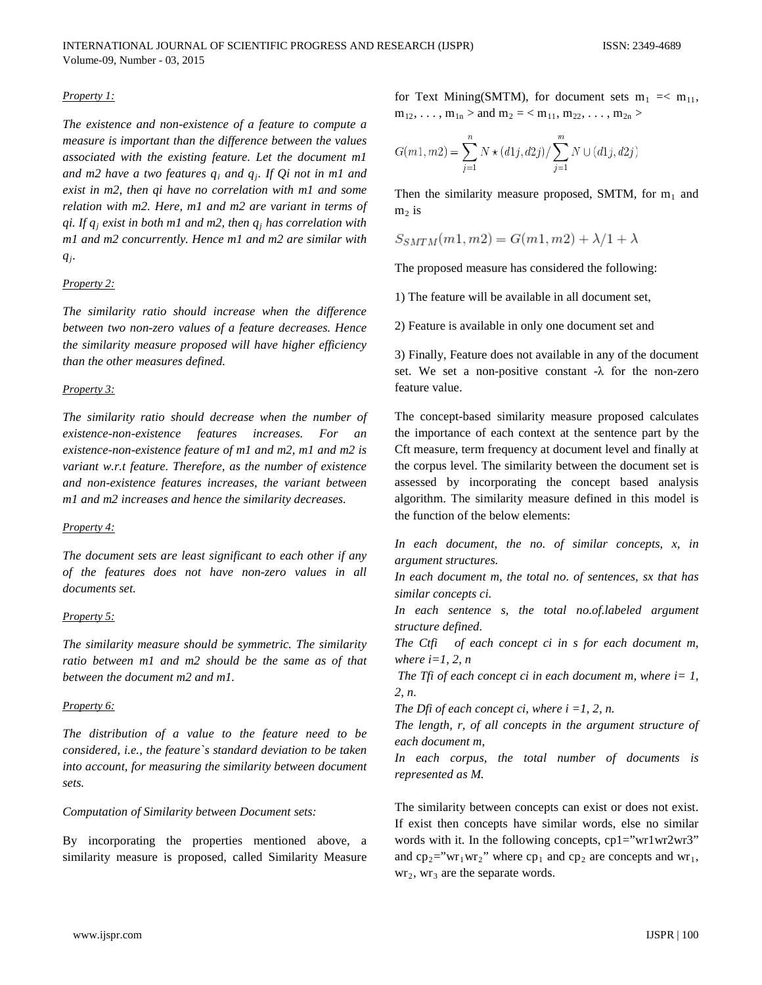## *Property 1:*

*The existence and non-existence of a feature to compute a measure is important than the difference between the values associated with the existing feature. Let the document m1 and m2 have a two features qi and qj. If Qi not in m1 and exist in m2, then qi have no correlation with m1 and some relation with m2. Here, m1 and m2 are variant in terms of qi. If qj exist in both m1 and m2, then qj has correlation with m1 and m2 concurrently. Hence m1 and m2 are similar with qj.* 

#### *Property 2:*

*The similarity ratio should increase when the difference between two non-zero values of a feature decreases. Hence the similarity measure proposed will have higher efficiency than the other measures defined.*

## *Property 3:*

*The similarity ratio should decrease when the number of existence-non-existence features increases. For an existence-non-existence feature of m1 and m2, m1 and m2 is variant w.r.t feature. Therefore, as the number of existence and non-existence features increases, the variant between m1 and m2 increases and hence the similarity decreases.* 

#### *Property 4:*

*The document sets are least significant to each other if any of the features does not have non-zero values in all documents set.* 

#### *Property 5:*

*The similarity measure should be symmetric. The similarity ratio between m1 and m2 should be the same as of that between the document m2 and m1.*

#### *Property 6:*

*The distribution of a value to the feature need to be considered, i.e., the feature`s standard deviation to be taken into account, for measuring the similarity between document sets.*

## *Computation of Similarity between Document sets:*

By incorporating the properties mentioned above, a similarity measure is proposed, called Similarity Measure for Text Mining(SMTM), for document sets  $m_1 = < m_{11}$ ,  $m_{12}, \ldots, m_{1n} >$  and  $m_2 =$ 

$$
G(m1, m2) = \sum_{j=1}^{n} N \star (d1j, d2j) / \sum_{j=1}^{m} N \cup (d1j, d2j)
$$

Then the similarity measure proposed, SMTM, for  $m_1$  and  $m<sub>2</sub>$  is

$$
S_{SMTM}(m1, m2) = G(m1, m2) + \lambda/1 + \lambda
$$

The proposed measure has considered the following:

1) The feature will be available in all document set,

2) Feature is available in only one document set and

3) Finally, Feature does not available in any of the document set. We set a non-positive constant -λ for the non-zero feature value.

The concept-based similarity measure proposed calculates the importance of each context at the sentence part by the Cft measure, term frequency at document level and finally at the corpus level. The similarity between the document set is assessed by incorporating the concept based analysis algorithm. The similarity measure defined in this model is the function of the below elements:

*In each document, the no. of similar concepts, x, in argument structures.*

*In each document m, the total no. of sentences, sx that has similar concepts ci.*

*In each sentence s, the total no.of.labeled argument structure defined.*

*The Ctfi of each concept ci in s for each document m, where i=1, 2, n*

*The Tfi of each concept ci in each document m, where i= 1, 2, n.*

*The Dfi of each concept ci, where i =1, 2, n.*

*The length, r, of all concepts in the argument structure of each document m,*

*In each corpus, the total number of documents is represented as M.*

The similarity between concepts can exist or does not exist. If exist then concepts have similar words, else no similar words with it. In the following concepts, cp1="wr1wr2wr3" and  $cp_2="wr_1wr_2"$  where  $cp_1$  and  $cp_2$  are concepts and wr<sub>1</sub>,  $wr_2$ ,  $wr_3$  are the separate words.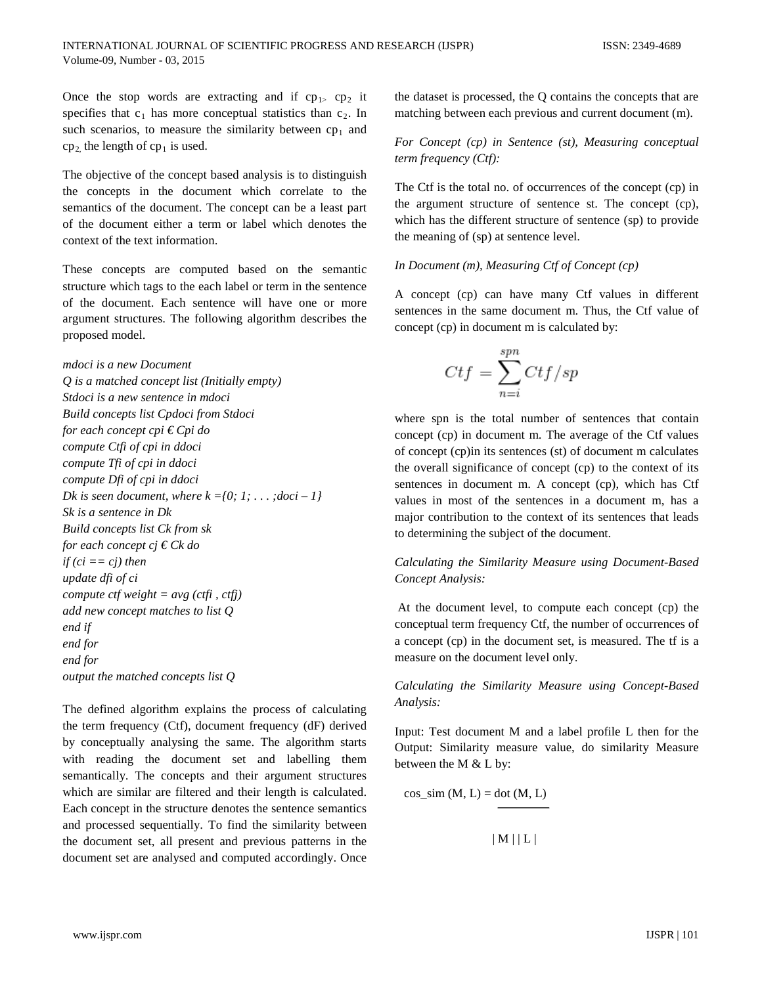Once the stop words are extracting and if  $cp_{1>}$  cp<sub>2</sub> it specifies that  $c_1$  has more conceptual statistics than  $c_2$ . In such scenarios, to measure the similarity between  $cp<sub>1</sub>$  and  $cp<sub>2</sub>$ , the length of  $cp<sub>1</sub>$  is used.

The objective of the concept based analysis is to distinguish the concepts in the document which correlate to the semantics of the document. The concept can be a least part of the document either a term or label which denotes the context of the text information.

These concepts are computed based on the semantic structure which tags to the each label or term in the sentence of the document. Each sentence will have one or more argument structures. The following algorithm describes the proposed model.

## *mdoci is a new Document*

*Q is a matched concept list (Initially empty) Stdoci is a new sentence in mdoci Build concepts list Cpdoci from Stdoci for each concept cpi € Cpi do compute Ctfi of cpi in ddoci compute Tfi of cpi in ddoci compute Dfi of cpi in ddoci Dk is seen document, where*  $k = \{0, 1, \ldots, d$ *oci* – *1* $\}$ *Sk is a sentence in Dk Build concepts list Ck from sk for each concept cj € Ck do if (ci == cj) then update dfi of ci compute ctf weight = avg (ctfi , ctfj) add new concept matches to list Q end if end for end for output the matched concepts list Q*

The defined algorithm explains the process of calculating the term frequency (Ctf), document frequency (dF) derived by conceptually analysing the same. The algorithm starts with reading the document set and labelling them semantically. The concepts and their argument structures which are similar are filtered and their length is calculated. Each concept in the structure denotes the sentence semantics and processed sequentially. To find the similarity between the document set, all present and previous patterns in the document set are analysed and computed accordingly. Once

the dataset is processed, the Q contains the concepts that are matching between each previous and current document (m).

# *For Concept (cp) in Sentence (st), Measuring conceptual term frequency (Ctf):*

The Ctf is the total no. of occurrences of the concept (cp) in the argument structure of sentence st. The concept (cp), which has the different structure of sentence (sp) to provide the meaning of (sp) at sentence level.

## *In Document (m), Measuring Ctf of Concept (cp)*

A concept (cp) can have many Ctf values in different sentences in the same document m. Thus, the Ctf value of concept (cp) in document m is calculated by:

$$
Ctf = \sum_{n=i}^{spn} Ctf/sp
$$

where spn is the total number of sentences that contain concept (cp) in document m. The average of the Ctf values of concept (cp)in its sentences (st) of document m calculates the overall significance of concept (cp) to the context of its sentences in document m. A concept (cp), which has Ctf values in most of the sentences in a document m, has a major contribution to the context of its sentences that leads to determining the subject of the document.

*Calculating the Similarity Measure using Document-Based Concept Analysis:* 

At the document level, to compute each concept (cp) the conceptual term frequency Ctf, the number of occurrences of a concept (cp) in the document set, is measured. The tf is a measure on the document level only.

*Calculating the Similarity Measure using Concept-Based Analysis:*

Input: Test document M and a label profile L then for the Output: Similarity measure value, do similarity Measure between the M & L by:

 $cos\_sim(M, L) = dot(M, L)$ 

 $|M||L|$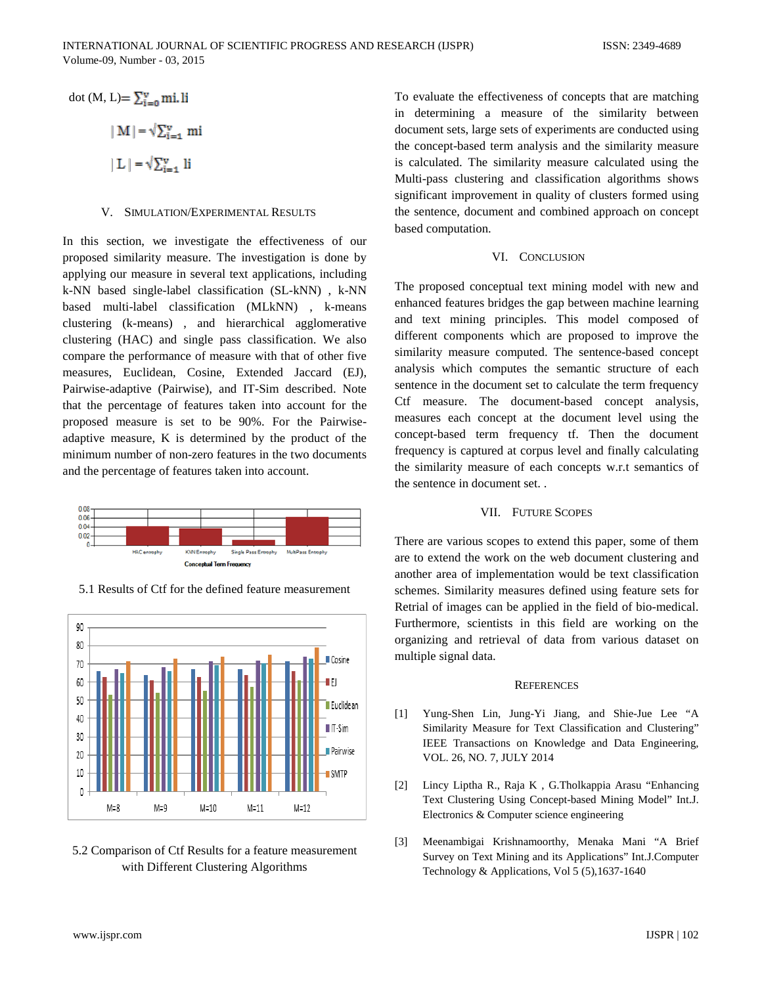dot (M, L)=  $\sum_{i=0}^{v}$  mi. li  $\|M\| = \sqrt{\sum_{i=1}^{v} m_i}$  $\|L\| = \sqrt{\sum_{i=1}^{v} h_i}$ 

#### V. SIMULATION/EXPERIMENTAL RESULTS

In this section, we investigate the effectiveness of our proposed similarity measure. The investigation is done by applying our measure in several text applications, including k-NN based single-label classification (SL-kNN) , k-NN based multi-label classification (MLkNN) , k-means clustering (k-means) , and hierarchical agglomerative clustering (HAC) and single pass classification. We also compare the performance of measure with that of other five measures, Euclidean, Cosine, Extended Jaccard (EJ), Pairwise-adaptive (Pairwise), and IT-Sim described. Note that the percentage of features taken into account for the proposed measure is set to be 90%. For the Pairwiseadaptive measure, K is determined by the product of the minimum number of non-zero features in the two documents and the percentage of features taken into account.



5.1 Results of Ctf for the defined feature measurement



5.2 Comparison of Ctf Results for a feature measurement with Different Clustering Algorithms

To evaluate the effectiveness of concepts that are matching in determining a measure of the similarity between document sets, large sets of experiments are conducted using the concept-based term analysis and the similarity measure is calculated. The similarity measure calculated using the Multi-pass clustering and classification algorithms shows significant improvement in quality of clusters formed using the sentence, document and combined approach on concept based computation.

## VI. CONCLUSION

The proposed conceptual text mining model with new and enhanced features bridges the gap between machine learning and text mining principles. This model composed of different components which are proposed to improve the similarity measure computed. The sentence-based concept analysis which computes the semantic structure of each sentence in the document set to calculate the term frequency Ctf measure. The document-based concept analysis, measures each concept at the document level using the concept-based term frequency tf. Then the document frequency is captured at corpus level and finally calculating the similarity measure of each concepts w.r.t semantics of the sentence in document set. .

# VII. FUTURE SCOPES

There are various scopes to extend this paper, some of them are to extend the work on the web document clustering and another area of implementation would be text classification schemes. Similarity measures defined using feature sets for Retrial of images can be applied in the field of bio-medical. Furthermore, scientists in this field are working on the organizing and retrieval of data from various dataset on multiple signal data.

#### **REFERENCES**

- [1] Yung-Shen Lin, Jung-Yi Jiang, and Shie-Jue Lee "A Similarity Measure for Text Classification and Clustering" IEEE Transactions on Knowledge and Data Engineering, VOL. 26, NO. 7, JULY 2014
- [2] Lincy Liptha R., Raja K , G.Tholkappia Arasu "Enhancing Text Clustering Using Concept-based Mining Model" Int.J. Electronics & Computer science engineering
- [3] Meenambigai Krishnamoorthy, Menaka Mani "A Brief Survey on Text Mining and its Applications" Int.J.Computer Technology & Applications, Vol 5 (5),1637-1640